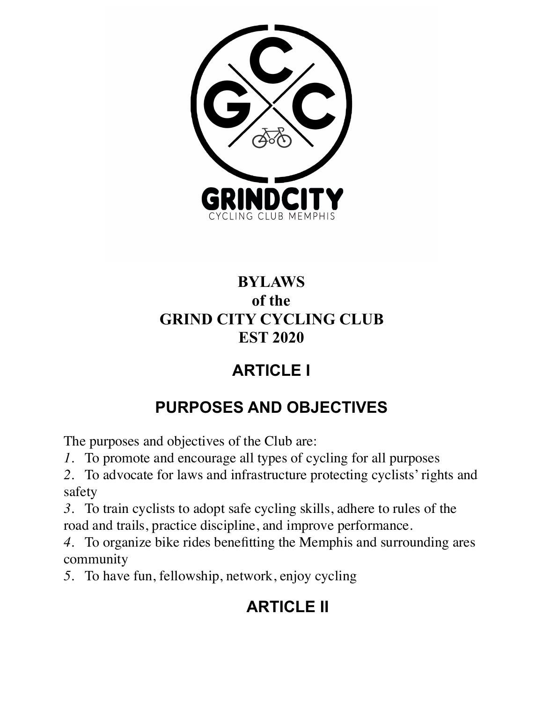

### **BYLAWS of the GRIND CITY CYCLING CLUB EST 2020**

# **ARTICLE I**

# **PURPOSES AND OBJECTIVES**

The purposes and objectives of the Club are:

- *1*. To promote and encourage all types of cycling for all purposes
- *2*. To advocate for laws and infrastructure protecting cyclists' rights and safety

*3*. To train cyclists to adopt safe cycling skills, adhere to rules of the road and trails, practice discipline, and improve performance.

*4*. To organize bike rides benefitting the Memphis and surrounding ares community

*5*. To have fun, fellowship, network, enjoy cycling

# **ARTICLE II**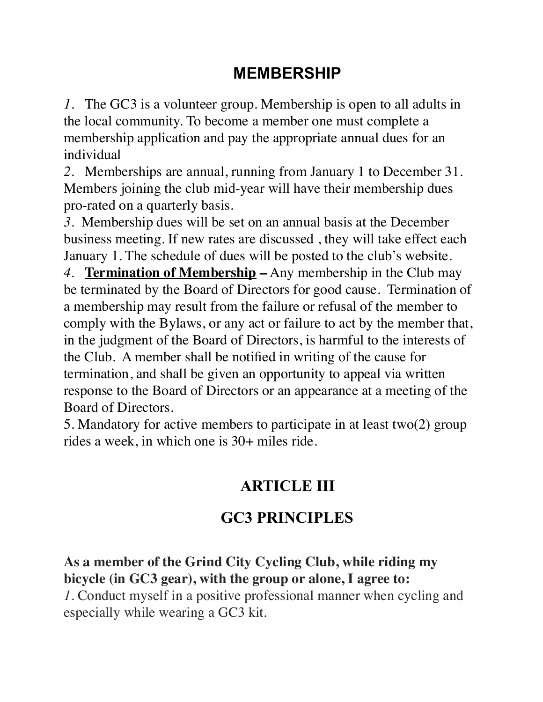### **MEMBERSHIP**

*1*. The GC3 is a volunteer group. Membership is open to all adults in the local community. To become a member one must complete a membership application and pay the appropriate annual dues for an individual

*2*. Memberships are annual, running from January 1 to December 31. Members joining the club mid-year will have their membership dues pro-rated on a quarterly basis.

*3*. Membership dues will be set on an annual basis at the December business meeting. If new rates are discussed , they will take effect each January 1. The schedule of dues will be posted to the club's website.

*4*. **Termination of Membership –** Any membership in the Club may be terminated by the Board of Directors for good cause. Termination of a membership may result from the failure or refusal of the member to comply with the Bylaws, or any act or failure to act by the member that, in the judgment of the Board of Directors, is harmful to the interests of the Club. A member shall be notified in writing of the cause for termination, and shall be given an opportunity to appeal via written response to the Board of Directors or an appearance at a meeting of the Board of Directors.

5. Mandatory for active members to participate in at least two(2) group rides a week, in which one is 30+ miles ride.

### **ARTICLE III**

### **GC3 PRINCIPLES**

#### **As a member of the Grind City Cycling Club, while riding my bicycle (in GC3 gear), with the group or alone, I agree to:**

*1*. Conduct myself in a positive professional manner when cycling and especially while wearing a GC3 kit.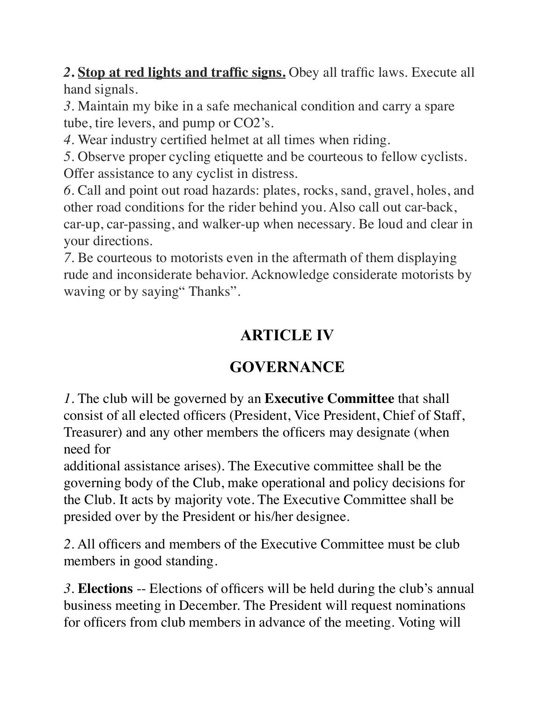*2***. Stop at red lights and traffic signs.** Obey all traffic laws. Execute all hand signals.

*3*. Maintain my bike in a safe mechanical condition and carry a spare tube, tire levers, and pump or CO2's.

*4*. Wear industry certified helmet at all times when riding.

*5*. Observe proper cycling etiquette and be courteous to fellow cyclists. Offer assistance to any cyclist in distress.

*6*. Call and point out road hazards: plates, rocks, sand, gravel, holes, and other road conditions for the rider behind you. Also call out car-back, car-up, car-passing, and walker-up when necessary. Be loud and clear in your directions.

*7*. Be courteous to motorists even in the aftermath of them displaying rude and inconsiderate behavior. Acknowledge considerate motorists by waving or by saying" Thanks".

## **ARTICLE IV**

## **GOVERNANCE**

*1*. The club will be governed by an **Executive Committee** that shall consist of all elected officers (President, Vice President, Chief of Staff, Treasurer) and any other members the officers may designate (when need for

additional assistance arises). The Executive committee shall be the governing body of the Club, make operational and policy decisions for the Club. It acts by majority vote. The Executive Committee shall be presided over by the President or his/her designee.

*2*. All officers and members of the Executive Committee must be club members in good standing.

*3*. **Elections** -- Elections of officers will be held during the club's annual business meeting in December. The President will request nominations for officers from club members in advance of the meeting. Voting will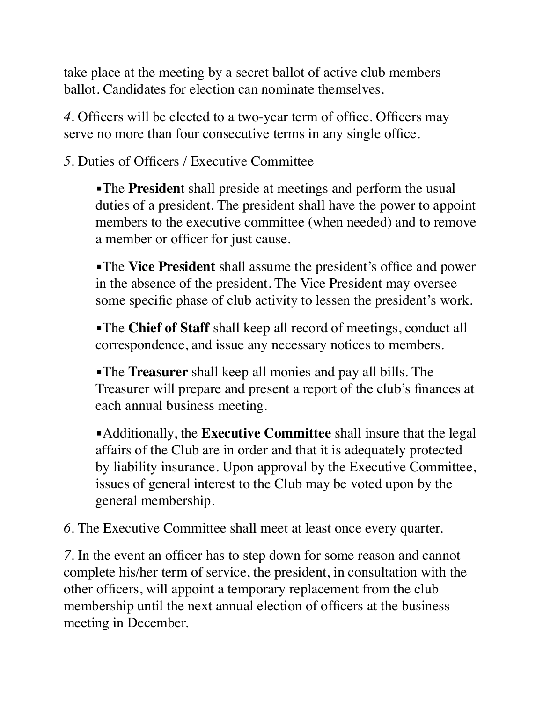take place at the meeting by a secret ballot of active club members ballot. Candidates for election can nominate themselves.

*4*. Officers will be elected to a two-year term of office. Officers may serve no more than four consecutive terms in any single office.

*5*. Duties of Officers / Executive Committee

**•The President** shall preside at meetings and perform the usual duties of a president. The president shall have the power to appoint members to the executive committee (when needed) and to remove a member or officer for just cause.

**The Vice President** shall assume the president's office and power in the absence of the president. The Vice President may oversee some specific phase of club activity to lessen the president's work.

**•The Chief of Staff** shall keep all record of meetings, conduct all correspondence, and issue any necessary notices to members.

▪The **Treasurer** shall keep all monies and pay all bills. The Treasurer will prepare and present a report of the club's finances at each annual business meeting.

▪Additionally, the **Executive Committee** shall insure that the legal affairs of the Club are in order and that it is adequately protected by liability insurance. Upon approval by the Executive Committee, issues of general interest to the Club may be voted upon by the general membership.

*6*. The Executive Committee shall meet at least once every quarter.

*7.* In the event an officer has to step down for some reason and cannot complete his/her term of service, the president, in consultation with the other officers, will appoint a temporary replacement from the club membership until the next annual election of officers at the business meeting in December.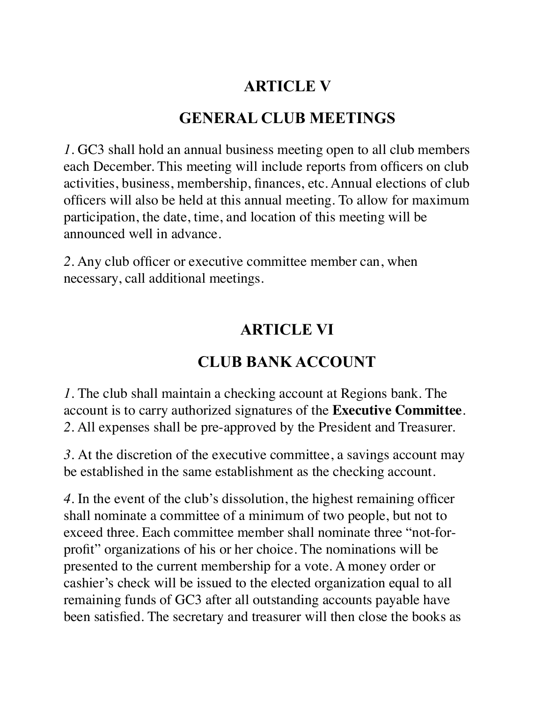#### **ARTICLE V**

#### **GENERAL CLUB MEETINGS**

*1*. GC3 shall hold an annual business meeting open to all club members each December. This meeting will include reports from officers on club activities, business, membership, finances, etc. Annual elections of club officers will also be held at this annual meeting. To allow for maximum participation, the date, time, and location of this meeting will be announced well in advance.

*2*. Any club officer or executive committee member can, when necessary, call additional meetings.

#### **ARTICLE VI**

#### **CLUB BANK ACCOUNT**

*1*. The club shall maintain a checking account at Regions bank. The account is to carry authorized signatures of the **Executive Committee**. *2*. All expenses shall be pre-approved by the President and Treasurer.

*3.* At the discretion of the executive committee, a savings account may be established in the same establishment as the checking account.

*4*. In the event of the club's dissolution, the highest remaining officer shall nominate a committee of a minimum of two people, but not to exceed three. Each committee member shall nominate three "not-forprofit" organizations of his or her choice. The nominations will be presented to the current membership for a vote. A money order or cashier's check will be issued to the elected organization equal to all remaining funds of GC3 after all outstanding accounts payable have been satisfied. The secretary and treasurer will then close the books as